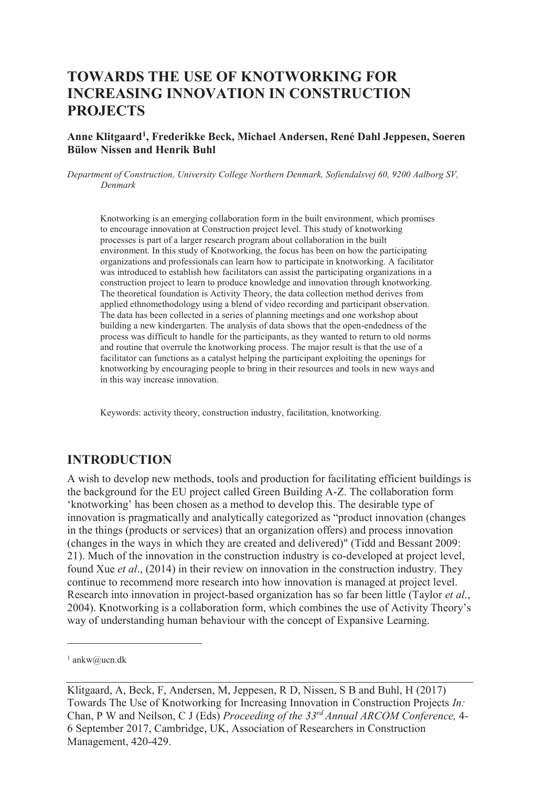# **TOWARDS THE USE OF KNOTWORKING FOR INCREASING INNOVATION IN CONSTRUCTION PROJECTS**

#### **Anne Klitgaard<sup>1</sup> , Frederikke Beck, Michael Andersen, René Dahl Jeppesen, Soeren Bülow Nissen and Henrik Buhl**

*Department of Construction, University College Northern Denmark, Sofiendalsvej 60, 9200 Aalborg SV, Denmark* 

Knotworking is an emerging collaboration form in the built environment, which promises to encourage innovation at Construction project level. This study of knotworking processes is part of a larger research program about collaboration in the built environment. In this study of Knotworking, the focus has been on how the participating organizations and professionals can learn how to participate in knotworking. A facilitator was introduced to establish how facilitators can assist the participating organizations in a construction project to learn to produce knowledge and innovation through knotworking. The theoretical foundation is Activity Theory, the data collection method derives from applied ethnomethodology using a blend of video recording and participant observation. The data has been collected in a series of planning meetings and one workshop about building a new kindergarten. The analysis of data shows that the open-endedness of the process was difficult to handle for the participants, as they wanted to return to old norms and routine that overrule the knotworking process. The major result is that the use of a facilitator can functions as a catalyst helping the participant exploiting the openings for knotworking by encouraging people to bring in their resources and tools in new ways and in this way increase innovation.

Keywords: activity theory, construction industry, facilitation, knotworking.

### **INTRODUCTION**

A wish to develop new methods, tools and production for facilitating efficient buildings is the background for the EU project called Green Building A-Z. The collaboration form 'knotworking' has been chosen as a method to develop this. The desirable type of innovation is pragmatically and analytically categorized as "product innovation (changes in the things (products or services) that an organization offers) and process innovation (changes in the ways in which they are created and delivered)" (Tidd and Bessant 2009: 21). Much of the innovation in the construction industry is co-developed at project level, found Xue *et al*., (2014) in their review on innovation in the construction industry. They continue to recommend more research into how innovation is managed at project level. Research into innovation in project-based organization has so far been little (Taylor *et al*., 2004). Knotworking is a collaboration form, which combines the use of Activity Theory's way of understanding human behaviour with the concept of Expansive Learning.

 $\overline{a}$ 

<sup>1</sup> ankw@ucn.dk

Klitgaard, A, Beck, F, Andersen, M, Jeppesen, R D, Nissen, S B and Buhl, H (2017) Towards The Use of Knotworking for Increasing Innovation in Construction Projects *In:*  Chan, P W and Neilson, C J (Eds) *Proceeding of the 33rd Annual ARCOM Conference,* 4- 6 September 2017, Cambridge, UK, Association of Researchers in Construction Management, 420-429.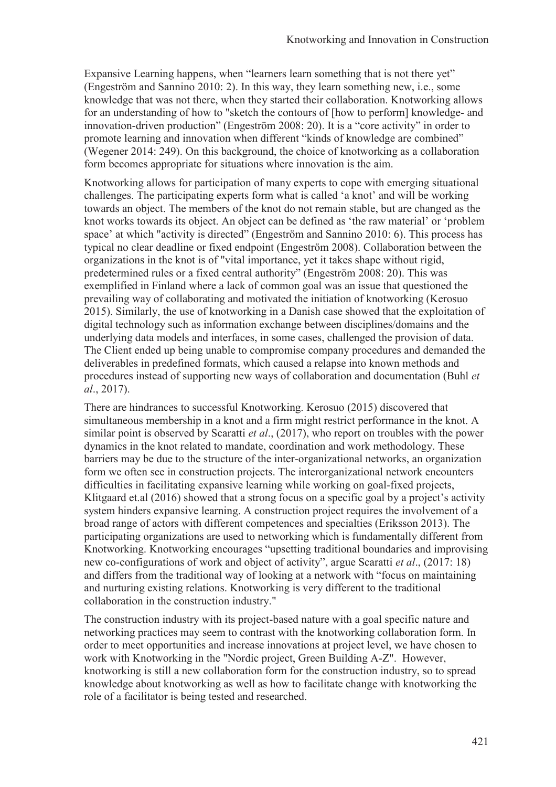Expansive Learning happens, when "learners learn something that is not there yet" (Engeström and Sannino 2010: 2). In this way, they learn something new, i.e., some knowledge that was not there, when they started their collaboration. Knotworking allows for an understanding of how to "sketch the contours of [how to perform] knowledge- and innovation-driven production" (Engeström 2008: 20). It is a "core activity" in order to promote learning and innovation when different "kinds of knowledge are combined" (Wegener 2014: 249). On this background, the choice of knotworking as a collaboration form becomes appropriate for situations where innovation is the aim.

Knotworking allows for participation of many experts to cope with emerging situational challenges. The participating experts form what is called 'a knot' and will be working towards an object. The members of the knot do not remain stable, but are changed as the knot works towards its object. An object can be defined as 'the raw material' or 'problem space' at which "activity is directed" (Engeström and Sannino 2010: 6). This process has typical no clear deadline or fixed endpoint (Engeström 2008). Collaboration between the organizations in the knot is of "vital importance, yet it takes shape without rigid, predetermined rules or a fixed central authority" (Engeström 2008: 20). This was exemplified in Finland where a lack of common goal was an issue that questioned the prevailing way of collaborating and motivated the initiation of knotworking (Kerosuo 2015). Similarly, the use of knotworking in a Danish case showed that the exploitation of digital technology such as information exchange between disciplines/domains and the underlying data models and interfaces, in some cases, challenged the provision of data. The Client ended up being unable to compromise company procedures and demanded the deliverables in predefined formats, which caused a relapse into known methods and procedures instead of supporting new ways of collaboration and documentation (Buhl *et al*., 2017).

There are hindrances to successful Knotworking. Kerosuo (2015) discovered that simultaneous membership in a knot and a firm might restrict performance in the knot. A similar point is observed by Scaratti *et al*., (2017), who report on troubles with the power dynamics in the knot related to mandate, coordination and work methodology. These barriers may be due to the structure of the inter-organizational networks, an organization form we often see in construction projects. The interorganizational network encounters difficulties in facilitating expansive learning while working on goal-fixed projects, Klitgaard et.al (2016) showed that a strong focus on a specific goal by a project's activity system hinders expansive learning. A construction project requires the involvement of a broad range of actors with different competences and specialties (Eriksson 2013). The participating organizations are used to networking which is fundamentally different from Knotworking. Knotworking encourages "upsetting traditional boundaries and improvising new co-configurations of work and object of activity", argue Scaratti *et al*., (2017: 18) and differs from the traditional way of looking at a network with "focus on maintaining and nurturing existing relations. Knotworking is very different to the traditional collaboration in the construction industry."

The construction industry with its project-based nature with a goal specific nature and networking practices may seem to contrast with the knotworking collaboration form. In order to meet opportunities and increase innovations at project level, we have chosen to work with Knotworking in the "Nordic project, Green Building A-Z". However, knotworking is still a new collaboration form for the construction industry, so to spread knowledge about knotworking as well as how to facilitate change with knotworking the role of a facilitator is being tested and researched.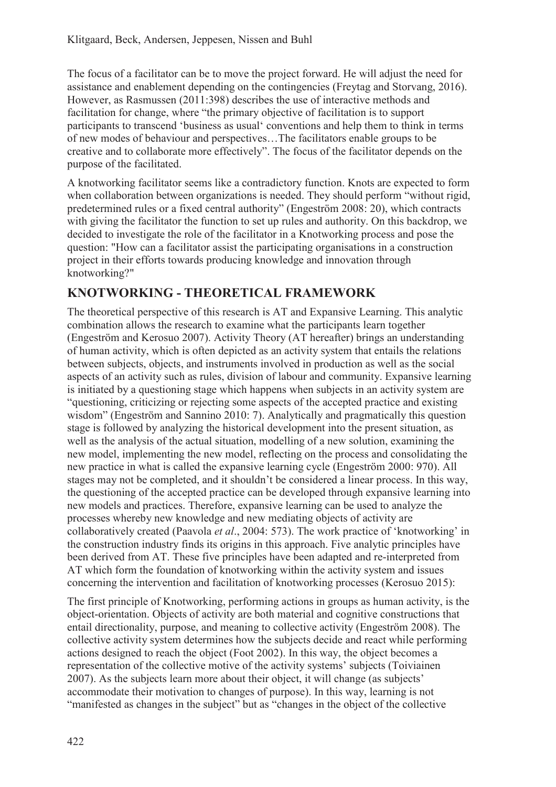The focus of a facilitator can be to move the project forward. He will adjust the need for assistance and enablement depending on the contingencies (Freytag and Storvang, 2016). However, as Rasmussen (2011:398) describes the use of interactive methods and facilitation for change, where "the primary objective of facilitation is to support participants to transcend 'business as usual' conventions and help them to think in terms of new modes of behaviour and perspectives…The facilitators enable groups to be creative and to collaborate more effectively". The focus of the facilitator depends on the purpose of the facilitated.

A knotworking facilitator seems like a contradictory function. Knots are expected to form when collaboration between organizations is needed. They should perform "without rigid, predetermined rules or a fixed central authority" (Engeström 2008: 20), which contracts with giving the facilitator the function to set up rules and authority. On this backdrop, we decided to investigate the role of the facilitator in a Knotworking process and pose the question: "How can a facilitator assist the participating organisations in a construction project in their efforts towards producing knowledge and innovation through knotworking?"

## **KNOTWORKING - THEORETICAL FRAMEWORK**

The theoretical perspective of this research is AT and Expansive Learning. This analytic combination allows the research to examine what the participants learn together (Engeström and Kerosuo 2007). Activity Theory (AT hereafter) brings an understanding of human activity, which is often depicted as an activity system that entails the relations between subjects, objects, and instruments involved in production as well as the social aspects of an activity such as rules, division of labour and community. Expansive learning is initiated by a questioning stage which happens when subjects in an activity system are "questioning, criticizing or rejecting some aspects of the accepted practice and existing wisdom" (Engeström and Sannino 2010: 7). Analytically and pragmatically this question stage is followed by analyzing the historical development into the present situation, as well as the analysis of the actual situation, modelling of a new solution, examining the new model, implementing the new model, reflecting on the process and consolidating the new practice in what is called the expansive learning cycle (Engeström 2000: 970). All stages may not be completed, and it shouldn't be considered a linear process. In this way, the questioning of the accepted practice can be developed through expansive learning into new models and practices. Therefore, expansive learning can be used to analyze the processes whereby new knowledge and new mediating objects of activity are collaboratively created (Paavola *et al*., 2004: 573). The work practice of 'knotworking' in the construction industry finds its origins in this approach. Five analytic principles have been derived from AT. These five principles have been adapted and re-interpreted from AT which form the foundation of knotworking within the activity system and issues concerning the intervention and facilitation of knotworking processes (Kerosuo 2015):

The first principle of Knotworking, performing actions in groups as human activity, is the object-orientation. Objects of activity are both material and cognitive constructions that entail directionality, purpose, and meaning to collective activity (Engeström 2008). The collective activity system determines how the subjects decide and react while performing actions designed to reach the object (Foot 2002). In this way, the object becomes a representation of the collective motive of the activity systems' subjects (Toiviainen 2007). As the subjects learn more about their object, it will change (as subjects' accommodate their motivation to changes of purpose). In this way, learning is not "manifested as changes in the subject" but as "changes in the object of the collective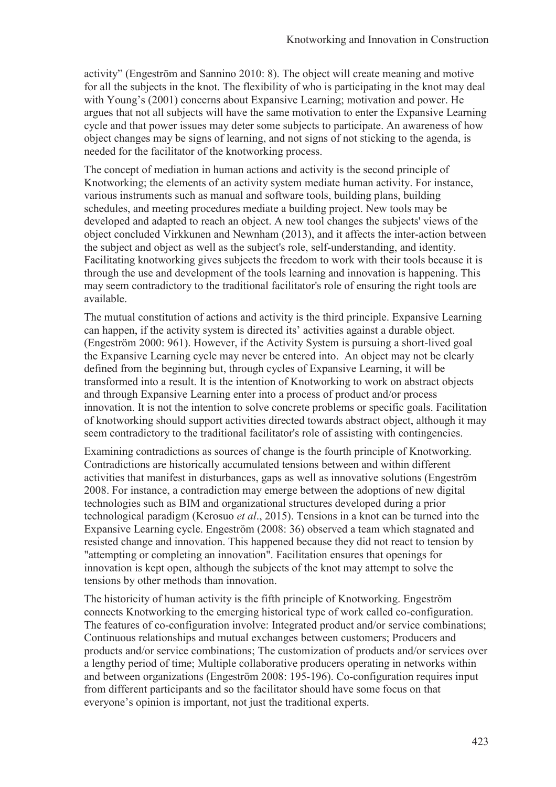activity" (Engeström and Sannino 2010: 8). The object will create meaning and motive for all the subjects in the knot. The flexibility of who is participating in the knot may deal with Young's (2001) concerns about Expansive Learning; motivation and power. He argues that not all subjects will have the same motivation to enter the Expansive Learning cycle and that power issues may deter some subjects to participate. An awareness of how object changes may be signs of learning, and not signs of not sticking to the agenda, is needed for the facilitator of the knotworking process.

The concept of mediation in human actions and activity is the second principle of Knotworking; the elements of an activity system mediate human activity. For instance, various instruments such as manual and software tools, building plans, building schedules, and meeting procedures mediate a building project. New tools may be developed and adapted to reach an object. A new tool changes the subjects' views of the object concluded Virkkunen and Newnham (2013), and it affects the inter-action between the subject and object as well as the subject's role, self-understanding, and identity. Facilitating knotworking gives subjects the freedom to work with their tools because it is through the use and development of the tools learning and innovation is happening. This may seem contradictory to the traditional facilitator's role of ensuring the right tools are available.

The mutual constitution of actions and activity is the third principle. Expansive Learning can happen, if the activity system is directed its' activities against a durable object. (Engeström 2000: 961). However, if the Activity System is pursuing a short-lived goal the Expansive Learning cycle may never be entered into. An object may not be clearly defined from the beginning but, through cycles of Expansive Learning, it will be transformed into a result. It is the intention of Knotworking to work on abstract objects and through Expansive Learning enter into a process of product and/or process innovation. It is not the intention to solve concrete problems or specific goals. Facilitation of knotworking should support activities directed towards abstract object, although it may seem contradictory to the traditional facilitator's role of assisting with contingencies.

Examining contradictions as sources of change is the fourth principle of Knotworking. Contradictions are historically accumulated tensions between and within different activities that manifest in disturbances, gaps as well as innovative solutions (Engeström 2008. For instance, a contradiction may emerge between the adoptions of new digital technologies such as BIM and organizational structures developed during a prior technological paradigm (Kerosuo *et al*., 2015). Tensions in a knot can be turned into the Expansive Learning cycle. Engeström (2008: 36) observed a team which stagnated and resisted change and innovation. This happened because they did not react to tension by "attempting or completing an innovation". Facilitation ensures that openings for innovation is kept open, although the subjects of the knot may attempt to solve the tensions by other methods than innovation.

The historicity of human activity is the fifth principle of Knotworking. Engeström connects Knotworking to the emerging historical type of work called co-configuration. The features of co-configuration involve: Integrated product and/or service combinations; Continuous relationships and mutual exchanges between customers; Producers and products and/or service combinations; The customization of products and/or services over a lengthy period of time; Multiple collaborative producers operating in networks within and between organizations (Engeström 2008: 195-196). Co-configuration requires input from different participants and so the facilitator should have some focus on that everyone's opinion is important, not just the traditional experts.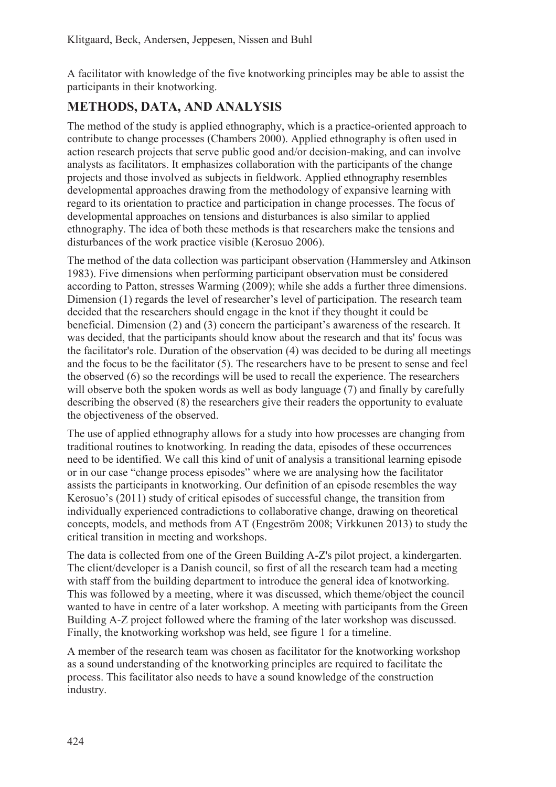A facilitator with knowledge of the five knotworking principles may be able to assist the participants in their knotworking.

## **METHODS, DATA, AND ANALYSIS**

The method of the study is applied ethnography, which is a practice-oriented approach to contribute to change processes (Chambers 2000). Applied ethnography is often used in action research projects that serve public good and/or decision-making, and can involve analysts as facilitators. It emphasizes collaboration with the participants of the change projects and those involved as subjects in fieldwork. Applied ethnography resembles developmental approaches drawing from the methodology of expansive learning with regard to its orientation to practice and participation in change processes. The focus of developmental approaches on tensions and disturbances is also similar to applied ethnography. The idea of both these methods is that researchers make the tensions and disturbances of the work practice visible (Kerosuo 2006).

The method of the data collection was participant observation (Hammersley and Atkinson 1983). Five dimensions when performing participant observation must be considered according to Patton, stresses Warming (2009); while she adds a further three dimensions. Dimension (1) regards the level of researcher's level of participation. The research team decided that the researchers should engage in the knot if they thought it could be beneficial. Dimension (2) and (3) concern the participant's awareness of the research. It was decided, that the participants should know about the research and that its' focus was the facilitator's role. Duration of the observation (4) was decided to be during all meetings and the focus to be the facilitator (5). The researchers have to be present to sense and feel the observed (6) so the recordings will be used to recall the experience. The researchers will observe both the spoken words as well as body language (7) and finally by carefully describing the observed (8) the researchers give their readers the opportunity to evaluate the objectiveness of the observed.

The use of applied ethnography allows for a study into how processes are changing from traditional routines to knotworking. In reading the data, episodes of these occurrences need to be identified. We call this kind of unit of analysis a transitional learning episode or in our case "change process episodes" where we are analysing how the facilitator assists the participants in knotworking. Our definition of an episode resembles the way Kerosuo's (2011) study of critical episodes of successful change, the transition from individually experienced contradictions to collaborative change, drawing on theoretical concepts, models, and methods from AT (Engeström 2008; Virkkunen 2013) to study the critical transition in meeting and workshops.

The data is collected from one of the Green Building A-Z's pilot project, a kindergarten. The client/developer is a Danish council, so first of all the research team had a meeting with staff from the building department to introduce the general idea of knotworking. This was followed by a meeting, where it was discussed, which theme/object the council wanted to have in centre of a later workshop. A meeting with participants from the Green Building A-Z project followed where the framing of the later workshop was discussed. Finally, the knotworking workshop was held, see figure 1 for a timeline.

A member of the research team was chosen as facilitator for the knotworking workshop as a sound understanding of the knotworking principles are required to facilitate the process. This facilitator also needs to have a sound knowledge of the construction industry.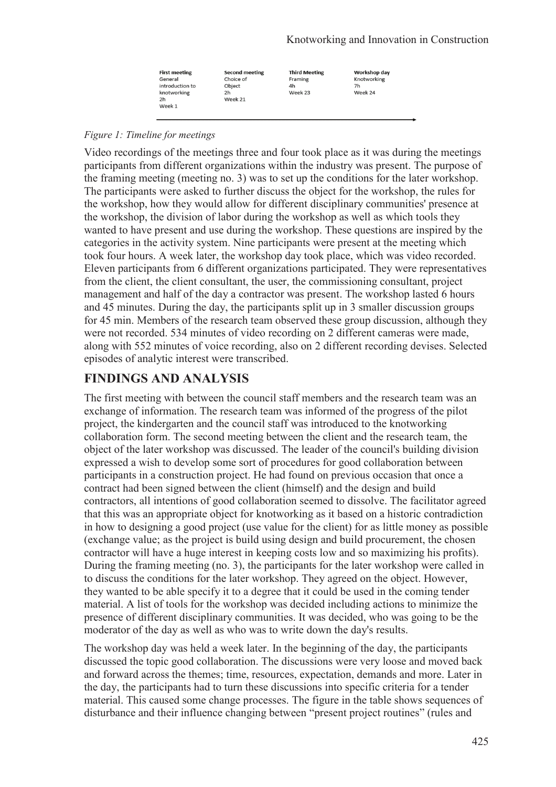| <b>First meeting</b> | <b>Second meeting</b> | <b>Third Meeting</b> | Workshop day |
|----------------------|-----------------------|----------------------|--------------|
| General              | Choice of             | Framing              | Knotworking  |
| introduction to      | Obiect                | 4h                   | 7h           |
| knotworking          | 2h                    | Week 23              | Week 24      |
| 2h                   | Week 21               |                      |              |
| Week 1               |                       |                      |              |

#### *Figure 1: Timeline for meetings*

Video recordings of the meetings three and four took place as it was during the meetings participants from different organizations within the industry was present. The purpose of the framing meeting (meeting no. 3) was to set up the conditions for the later workshop. The participants were asked to further discuss the object for the workshop, the rules for the workshop, how they would allow for different disciplinary communities' presence at the workshop, the division of labor during the workshop as well as which tools they wanted to have present and use during the workshop. These questions are inspired by the categories in the activity system. Nine participants were present at the meeting which took four hours. A week later, the workshop day took place, which was video recorded. Eleven participants from 6 different organizations participated. They were representatives from the client, the client consultant, the user, the commissioning consultant, project management and half of the day a contractor was present. The workshop lasted 6 hours and 45 minutes. During the day, the participants split up in 3 smaller discussion groups for 45 min. Members of the research team observed these group discussion, although they were not recorded. 534 minutes of video recording on 2 different cameras were made, along with 552 minutes of voice recording, also on 2 different recording devises. Selected episodes of analytic interest were transcribed.

## **FINDINGS AND ANALYSIS**

The first meeting with between the council staff members and the research team was an exchange of information. The research team was informed of the progress of the pilot project, the kindergarten and the council staff was introduced to the knotworking collaboration form. The second meeting between the client and the research team, the object of the later workshop was discussed. The leader of the council's building division expressed a wish to develop some sort of procedures for good collaboration between participants in a construction project. He had found on previous occasion that once a contract had been signed between the client (himself) and the design and build contractors, all intentions of good collaboration seemed to dissolve. The facilitator agreed that this was an appropriate object for knotworking as it based on a historic contradiction in how to designing a good project (use value for the client) for as little money as possible (exchange value; as the project is build using design and build procurement, the chosen contractor will have a huge interest in keeping costs low and so maximizing his profits). During the framing meeting (no. 3), the participants for the later workshop were called in to discuss the conditions for the later workshop. They agreed on the object. However, they wanted to be able specify it to a degree that it could be used in the coming tender material. A list of tools for the workshop was decided including actions to minimize the presence of different disciplinary communities. It was decided, who was going to be the moderator of the day as well as who was to write down the day's results.

The workshop day was held a week later. In the beginning of the day, the participants discussed the topic good collaboration. The discussions were very loose and moved back and forward across the themes; time, resources, expectation, demands and more. Later in the day, the participants had to turn these discussions into specific criteria for a tender material. This caused some change processes. The figure in the table shows sequences of disturbance and their influence changing between "present project routines" (rules and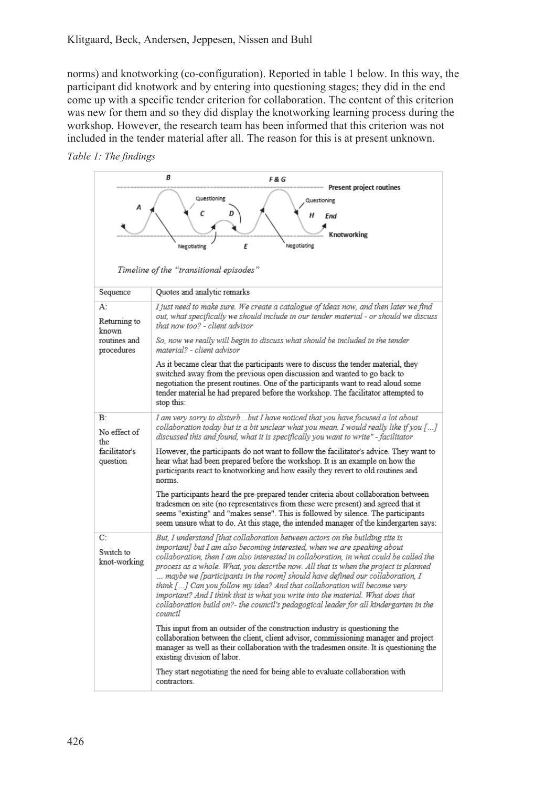norms) and knotworking (co-configuration). Reported in table 1 below. In this way, the participant did knotwork and by entering into questioning stages; they did in the end come up with a specific tender criterion for collaboration. The content of this criterion was new for them and so they did display the knotworking learning process during the workshop. However, the research team has been informed that this criterion was not included in the tender material after all. The reason for this is at present unknown.

#### *Table 1: The findings*

| B<br><b>F&amp;G</b><br>Present project routines        |                                                                                                                                                                                                                                                                                                                                                                                                                                                                                                                                                                                                                                                                                              |  |
|--------------------------------------------------------|----------------------------------------------------------------------------------------------------------------------------------------------------------------------------------------------------------------------------------------------------------------------------------------------------------------------------------------------------------------------------------------------------------------------------------------------------------------------------------------------------------------------------------------------------------------------------------------------------------------------------------------------------------------------------------------------|--|
|                                                        | Questioning<br>Questioning<br>с<br>н<br>End<br>tworking                                                                                                                                                                                                                                                                                                                                                                                                                                                                                                                                                                                                                                      |  |
|                                                        | Negotiating<br>E<br>Negotiating                                                                                                                                                                                                                                                                                                                                                                                                                                                                                                                                                                                                                                                              |  |
| Timeline of the "transitional episodes"                |                                                                                                                                                                                                                                                                                                                                                                                                                                                                                                                                                                                                                                                                                              |  |
| Sequence                                               | Quotes and analytic remarks                                                                                                                                                                                                                                                                                                                                                                                                                                                                                                                                                                                                                                                                  |  |
| А:<br>Returning to<br>known                            | I just need to make sure. We create a catalogue of ideas now, and then later we find<br>out, what specifically we should include in our tender material - or should we discuss<br>that now too? - client advisor                                                                                                                                                                                                                                                                                                                                                                                                                                                                             |  |
| routines and<br>procedures                             | So, now we really will begin to discuss what should be included in the tender<br>material? - client advisor                                                                                                                                                                                                                                                                                                                                                                                                                                                                                                                                                                                  |  |
|                                                        | As it became clear that the participants were to discuss the tender material, they<br>switched away from the previous open discussion and wanted to go back to<br>negotiation the present routines. One of the participants want to read aloud some<br>tender material he had prepared before the workshop. The facilitator attempted to<br>stop this:                                                                                                                                                                                                                                                                                                                                       |  |
| B:<br>No effect of<br>the<br>facilitator's<br>question | I am very sorry to disturbbut I have noticed that you have focused a lot about<br>collaboration today but is a bit unclear what you mean. I would really like if you []<br>discussed this and found, what it is specifically you want to write" - facilitator                                                                                                                                                                                                                                                                                                                                                                                                                                |  |
|                                                        | However, the participants do not want to follow the facilitator's advice. They want to<br>hear what had been prepared before the workshop. It is an example on how the<br>participants react to knotworking and how easily they revert to old routines and<br>norms                                                                                                                                                                                                                                                                                                                                                                                                                          |  |
|                                                        | The participants heard the pre-prepared tender criteria about collaboration between<br>tradesmen on site (no representatives from these were present) and agreed that it<br>seems "existing" and "makes sense". This is followed by silence. The participants<br>seem unsure what to do. At this stage, the intended manager of the kindergarten says:                                                                                                                                                                                                                                                                                                                                       |  |
| C:<br>Switch to<br>knot-working                        | But, I understand [that collaboration between actors on the building site is<br>important] but I am also becoming interested, when we are speaking about<br>collaboration, then I am also interested in collaboration, in what could be called the<br>process as a whole. What, you describe now. All that is when the project is planned<br>maybe we [participants in the room] should have defined our collaboration, I<br>think [] Can you follow my idea? And that collaboration will become very<br>important? And I think that is what you write into the material. What does that<br>collaboration build on?- the council's pedagogical leader for all kindergarten in the<br>council |  |
|                                                        | This input from an outsider of the construction industry is questioning the<br>collaboration between the client, client advisor, commissioning manager and project<br>manager as well as their collaboration with the tradesmen onsite. It is questioning the<br>existing division of labor.                                                                                                                                                                                                                                                                                                                                                                                                 |  |
|                                                        | They start negotiating the need for being able to evaluate collaboration with<br>contractors.                                                                                                                                                                                                                                                                                                                                                                                                                                                                                                                                                                                                |  |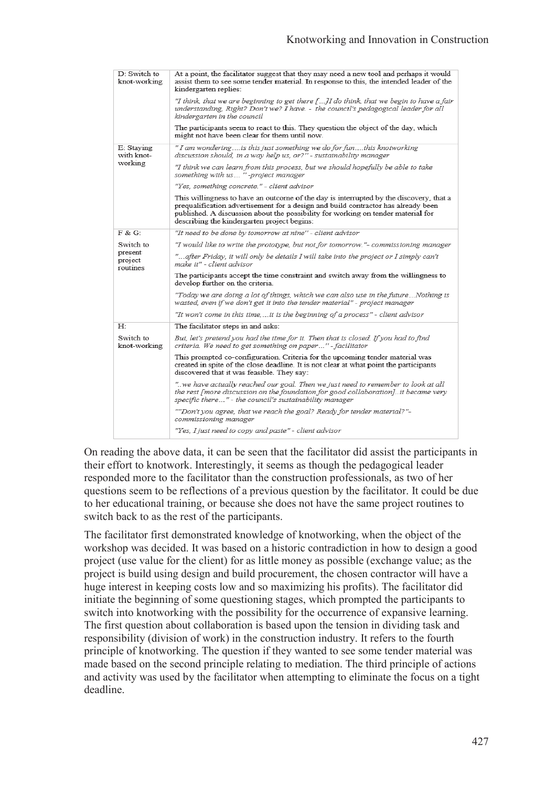| D: Switch to<br>knot-working                | At a point, the facilitator suggest that they may need a new tool and perhaps it would<br>assist them to see some tender material. In response to this, the intended leader of the<br>kindergarten replies:                                                                                                    |
|---------------------------------------------|----------------------------------------------------------------------------------------------------------------------------------------------------------------------------------------------------------------------------------------------------------------------------------------------------------------|
|                                             | "I think, that we are beginning to get there []I do think, that we begin to have a fair<br>understanding, Right? Don't we? I have. - the council's pedagogical leader for all<br>kindergarten in the council                                                                                                   |
|                                             | The participants seem to react to this. They question the object of the day, which<br>might not have been clear for them until now.                                                                                                                                                                            |
| E: Staying<br>with knot-<br>working         | " I am wondering is this just something we do for funthis knotworking<br>discussion should, in a way help us, or?" - sustainability manager                                                                                                                                                                    |
|                                             | "I think we can learn from this process, but we should hopefully be able to take<br>something with us "-project manager                                                                                                                                                                                        |
|                                             | "Yes, something concrete." - client advisor                                                                                                                                                                                                                                                                    |
|                                             | This willingness to have an outcome of the day is interrupted by the discovery, that a<br>prequalification advertisement for a design and build contractor has already been<br>published. A discussion about the possibility for working on tender material for<br>describing the kindergarten project begins: |
| F & G:                                      | "It need to be done by tomorrow at nine" - client advisor                                                                                                                                                                                                                                                      |
| Switch to<br>present<br>project<br>routines | "I would like to write the prototype, but not for tomorrow."- commissioning manager                                                                                                                                                                                                                            |
|                                             | "after Friday, it will only be details I will take into the project or I simply can't<br>make it" - client advisor                                                                                                                                                                                             |
|                                             | The participants accept the time constraint and switch away from the willingness to<br>develop further on the criteria.                                                                                                                                                                                        |
|                                             | "Today we are doing a lot of things, which we can also use in the futureNothing is<br>wasted, even if we don't get it into the tender material" - project manager                                                                                                                                              |
|                                             | "It won't come in this time,  it is the beginning of a process" - client advisor                                                                                                                                                                                                                               |
| H:                                          | The facilitator steps in and asks:                                                                                                                                                                                                                                                                             |
| Switch to<br>knot-working                   | But, let's pretend you had the time for it. Then that is closed. If you had to find<br>criteria. We need to get something on paper" - facilitator                                                                                                                                                              |
|                                             | This prompted co-configuration. Criteria for the upcoming tender material was<br>created in spite of the close deadline. It is not clear at what point the participants<br>discovered that it was feasible. They say:                                                                                          |
|                                             | we have actually reached our goal. Then we just need to remember to look at all."<br>the rest [more discussion on the foundation for good collaboration]it became very<br>specific there" - the council's sustainability manager                                                                               |
|                                             | ""Don't you agree, that we reach the goal? Ready for tender material?"-<br>commissioning manager                                                                                                                                                                                                               |
|                                             | "Yes, I just need to copy and paste" - client advisor                                                                                                                                                                                                                                                          |

On reading the above data, it can be seen that the facilitator did assist the participants in their effort to knotwork. Interestingly, it seems as though the pedagogical leader responded more to the facilitator than the construction professionals, as two of her questions seem to be reflections of a previous question by the facilitator. It could be due to her educational training, or because she does not have the same project routines to switch back to as the rest of the participants.

The facilitator first demonstrated knowledge of knotworking, when the object of the workshop was decided. It was based on a historic contradiction in how to design a good project (use value for the client) for as little money as possible (exchange value; as the project is build using design and build procurement, the chosen contractor will have a huge interest in keeping costs low and so maximizing his profits). The facilitator did initiate the beginning of some questioning stages, which prompted the participants to switch into knotworking with the possibility for the occurrence of expansive learning. The first question about collaboration is based upon the tension in dividing task and responsibility (division of work) in the construction industry. It refers to the fourth principle of knotworking. The question if they wanted to see some tender material was made based on the second principle relating to mediation. The third principle of actions and activity was used by the facilitator when attempting to eliminate the focus on a tight deadline.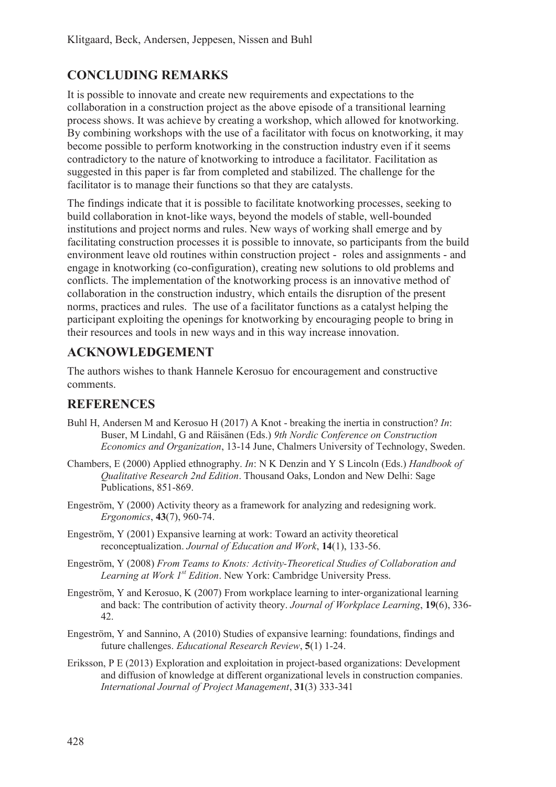# **CONCLUDING REMARKS**

It is possible to innovate and create new requirements and expectations to the collaboration in a construction project as the above episode of a transitional learning process shows. It was achieve by creating a workshop, which allowed for knotworking. By combining workshops with the use of a facilitator with focus on knotworking, it may become possible to perform knotworking in the construction industry even if it seems contradictory to the nature of knotworking to introduce a facilitator. Facilitation as suggested in this paper is far from completed and stabilized. The challenge for the facilitator is to manage their functions so that they are catalysts.

The findings indicate that it is possible to facilitate knotworking processes, seeking to build collaboration in knot-like ways, beyond the models of stable, well-bounded institutions and project norms and rules. New ways of working shall emerge and by facilitating construction processes it is possible to innovate, so participants from the build environment leave old routines within construction project - roles and assignments - and engage in knotworking (co-configuration), creating new solutions to old problems and conflicts. The implementation of the knotworking process is an innovative method of collaboration in the construction industry, which entails the disruption of the present norms, practices and rules. The use of a facilitator functions as a catalyst helping the participant exploiting the openings for knotworking by encouraging people to bring in their resources and tools in new ways and in this way increase innovation.

## **ACKNOWLEDGEMENT**

The authors wishes to thank Hannele Kerosuo for encouragement and constructive comments.

### **REFERENCES**

- Buhl H, Andersen M and Kerosuo H (2017) A Knot breaking the inertia in construction? *In*: Buser, M Lindahl, G and Räisänen (Eds.) *9th Nordic Conference on Construction Economics and Organization*, 13-14 June, Chalmers University of Technology, Sweden.
- Chambers, E (2000) Applied ethnography. *In*: N K Denzin and Y S Lincoln (Eds.) *Handbook of Qualitative Research 2nd Edition*. Thousand Oaks, London and New Delhi: Sage Publications, 851-869.
- Engeström, Y (2000) Activity theory as a framework for analyzing and redesigning work. *Ergonomics*, **43**(7), 960-74.
- Engeström, Y (2001) Expansive learning at work: Toward an activity theoretical reconceptualization. *Journal of Education and Work*, **14**(1), 133-56.
- Engeström, Y (2008) *From Teams to Knots: Activity-Theoretical Studies of Collaboration and Learning at Work 1st Edition*. New York: Cambridge University Press.
- Engeström, Y and Kerosuo, K  $(2007)$  From workplace learning to inter-organizational learning and back: The contribution of activity theory. *Journal of Workplace Learning*, **19**(6), 336- 42.
- Engeström, Y and Sannino, A (2010) Studies of expansive learning: foundations, findings and future challenges. *Educational Research Review*, **5**(1) 1-24.
- Eriksson, P E (2013) Exploration and exploitation in project-based organizations: Development and diffusion of knowledge at different organizational levels in construction companies. *International Journal of Project Management*, **31**(3) 333-341